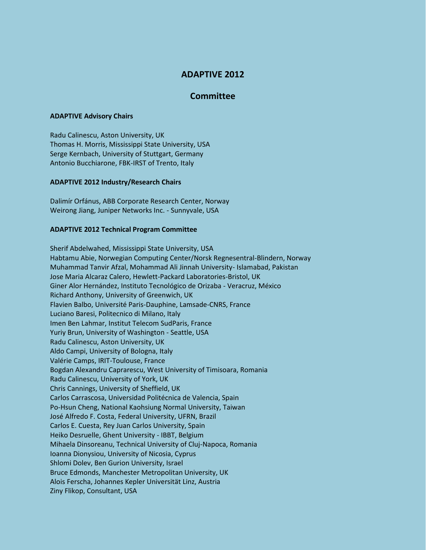# **ADAPTIVE 2012**

# **Committee**

## **ADAPTIVE Advisory Chairs**

Radu Calinescu, Aston University, UK Thomas H. Morris, Mississippi State University, USA Serge Kernbach, University of Stuttgart, Germany Antonio Bucchiarone, FBK-IRST of Trento, Italy

## **ADAPTIVE 2012 Industry/Research Chairs**

Dalimír Orfánus, ABB Corporate Research Center, Norway Weirong Jiang, Juniper Networks Inc. - Sunnyvale, USA

## **ADAPTIVE 2012 Technical Program Committee**

Sherif Abdelwahed, Mississippi State University, USA Habtamu Abie, Norwegian Computing Center/Norsk Regnesentral-Blindern, Norway Muhammad Tanvir Afzal, Mohammad Ali Jinnah University- Islamabad, Pakistan Jose Maria Alcaraz Calero, Hewlett-Packard Laboratories-Bristol, UK Giner Alor Hernández, Instituto Tecnológico de Orizaba - Veracruz, México Richard Anthony, University of Greenwich, UK Flavien Balbo, Université Paris-Dauphine, Lamsade-CNRS, France Luciano Baresi, Politecnico di Milano, Italy Imen Ben Lahmar, Institut Telecom SudParis, France Yuriy Brun, University of Washington - Seattle, USA Radu Calinescu, Aston University, UK Aldo Campi, University of Bologna, Italy Valérie Camps, IRIT-Toulouse, France Bogdan Alexandru Caprarescu, West University of Timisoara, Romania Radu Calinescu, University of York, UK Chris Cannings, University of Sheffield, UK Carlos Carrascosa, Universidad Politécnica de Valencia, Spain Po-Hsun Cheng, National Kaohsiung Normal University, Taiwan José Alfredo F. Costa, Federal University, UFRN, Brazil Carlos E. Cuesta, Rey Juan Carlos University, Spain Heiko Desruelle, Ghent University - IBBT, Belgium Mihaela Dinsoreanu, Technical University of Cluj-Napoca, Romania Ioanna Dionysiou, University of Nicosia, Cyprus Shlomi Dolev, Ben Gurion University, Israel Bruce Edmonds, Manchester Metropolitan University, UK Alois Ferscha, Johannes Kepler Universität Linz, Austria Ziny Flikop, Consultant, USA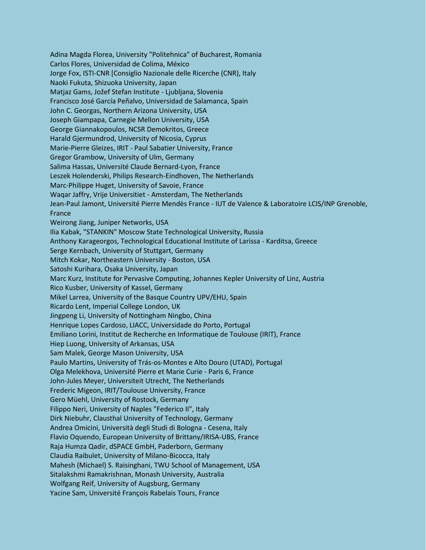Adina Magda Florea, University "Politehnica" of Bucharest, Romania Carlos Flores, Universidad de Colima, México Jorge Fox, ISTI-CNR [Consiglio Nazionale delle Ricerche (CNR), Italy Naoki Fukuta, Shizuoka University, Japan Matjaz Gams, Jožef Stefan Institute - Ljubljana, Slovenia Francisco José García Peñalvo, Universidad de Salamanca, Spain John C. Georgas, Northern Arizona University, USA Joseph Giampapa, Carnegie Mellon University, USA George Giannakopoulos, NCSR Demokritos, Greece Harald Gjermundrod, University of Nicosia, Cyprus Marie-Pierre Gleizes, IRIT - Paul Sabatier University, France Gregor Grambow, University of Ulm, Germany Salima Hassas, Université Claude Bernard-Lyon, France Leszek Holenderski, Philips Research-Eindhoven, The Netherlands Marc-Philippe Huget, University of Savoie, France Waqar Jaffry, Vrije Universitiet - Amsterdam, The Netherlands Jean-Paul Jamont, Université Pierre Mendès France - IUT de Valence & Laboratoire LCIS/INP Grenoble, France Weirong Jiang, Juniper Networks, USA Ilia Kabak, "STANKIN" Moscow State Technological University, Russia Anthony Karageorgos, Technological Educational Institute of Larissa - Karditsa, Greece Serge Kernbach, University of Stuttgart, Germany Mitch Kokar, Northeastern University - Boston, USA Satoshi Kurihara, Osaka University, Japan Marc Kurz, Institute for Pervasive Computing, Johannes Kepler University of Linz, Austria Rico Kusber, University of Kassel, Germany Mikel Larrea, University of the Basque Country UPV/EHU, Spain Ricardo Lent, Imperial College London, UK Jingpeng Li, University of Nottingham Ningbo, China Henrique Lopes Cardoso, LIACC, Universidade do Porto, Portugal Emiliano Lorini, Institut de Recherche en Informatique de Toulouse (IRIT), France Hiep Luong, University of Arkansas, USA Sam Malek, George Mason University, USA Paulo Martins, University of Trás-os-Montes e Alto Douro (UTAD), Portugal Olga Melekhova, Université Pierre et Marie Curie - Paris 6, France John-Jules Meyer, Universiteit Utrecht, The Netherlands Frederic Migeon, IRIT/Toulouse University, France Gero Müehl, University of Rostock, Germany Filippo Neri, University of Naples "Federico II", Italy Dirk Niebuhr, Clausthal University of Technology, Germany Andrea Omicini, Università degli Studi di Bologna - Cesena, Italy Flavio Oquendo, European University of Brittany/IRISA-UBS, France Raja Humza Qadir, dSPACE GmbH, Paderborn, Germany Claudia Raibulet, University of Milano-Bicocca, Italy Mahesh (Michael) S. Raisinghani, TWU School of Management, USA Sitalakshmi Ramakrishnan, Monash University, Australia Wolfgang Reif, University of Augsburg, Germany Yacine Sam, Université François Rabelais Tours, France